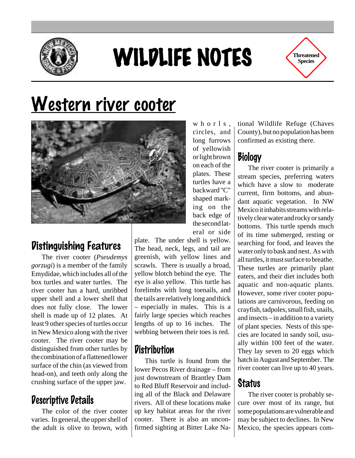

# WILDLIFE NOTES

**Threatened Species**

# Western river cooter



### Distinguishing Features

The river cooter (*Pseudemys gorzugi*) is a member of the family Emydidae, which includes all of the box turtles and water turtles. The river cooter has a hard, unribbed upper shell and a lower shell that does not fully close. The lower shell is made up of 12 plates. At least 9 other species of turtles occur in New Mexico along with the river cooter. The river cooter may be distinguished from other turtles by the combination of a flattened lower surface of the chin (as viewed from head-on), and teeth only along the crushing surface of the upper jaw.

#### Descriptive Details

The color of the river cooter varies. In general, the upper shell of the adult is olive to brown, with

whorls, circles, and long furrows of yellowish or light brown on each of the plates. These turtles have a backward "C" shaped marking on the back edge of the second lateral or side

plate. The under shell is yellow. The head, neck, legs, and tail are greenish, with yellow lines and scrawls. There is usually a broad, yellow blotch behind the eye. The eye is also yellow. This turtle has forelimbs with long toenails, and the tails are relatively long and thick – especially in males. This is a fairly large species which reaches lengths of up to 16 inches. The webbing between their toes is red.

#### **Distribution**

This turtle is found from the lower Pecos River drainage – from just downstream of Brantley Dam to Red Bluff Reservoir and including all of the Black and Delaware rivers. All of these locations make up key habitat areas for the river cooter. There is also an unconfirmed sighting at Bitter Lake Na-

tional Wildlife Refuge (Chaves County), but no population has been confirmed as existing there.

## Biology

The river cooter is primarily a stream species, preferring waters which have a slow to moderate current, firm bottoms, and abundant aquatic vegetation. In NW Mexico it inhabits streams with relatively clear water and rocky or sandy bottoms. This turtle spends much of its time submerged, resting or searching for food, and leaves the water only to bask and nest. As with all turtles, it must surface to breathe. These turtles are primarily plant eaters, and their diet includes both aquatic and non-aquatic plants. However, some river cooter populations are carnivorous, feeding on crayfish, tadpoles, small fish, snails, and insects – in addition to a variety of plant species. Nests of this species are located in sandy soil, usually within 100 feet of the water. They lay seven to 20 eggs which hatch in August and September. The river cooter can live up to 40 years.

#### **Status**

The river cooter is probably secure over most of its range, but some populations are vulnerable and may be subject to declines. In New Mexico, the species appears com-